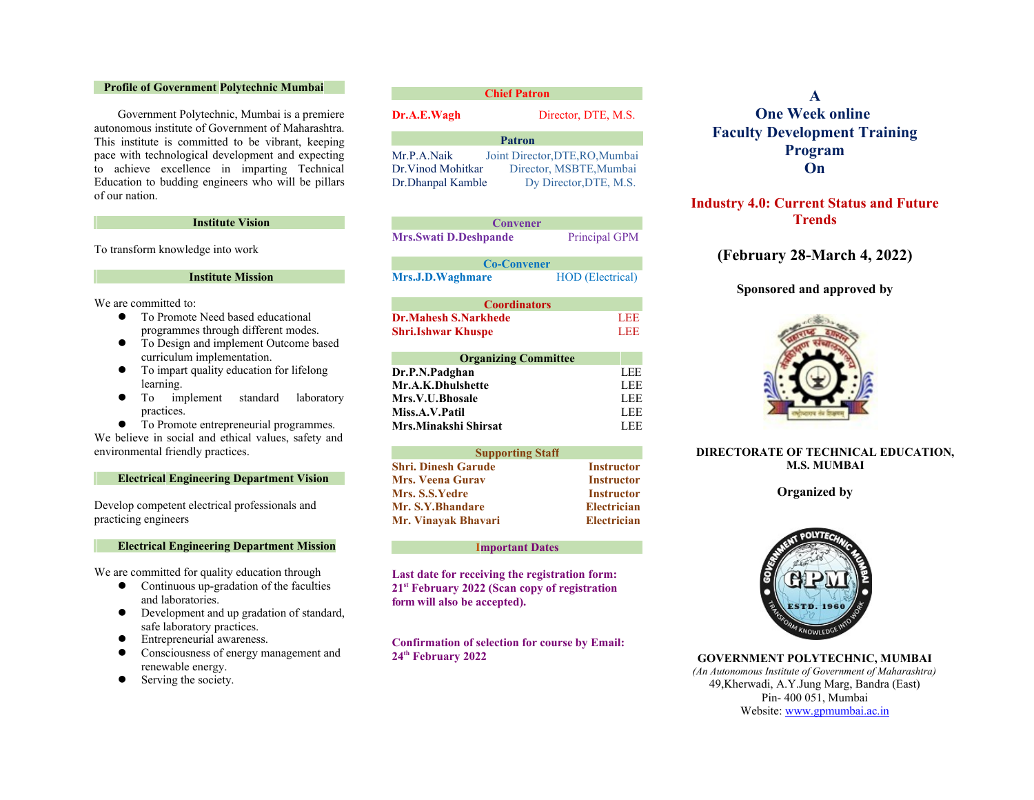## **Profile of Government Polytechnic Mumbai**

Government Polytechnic, Mumbai is a premiere autonomous institute of Government of Maharashtra. This institute is committed to be vibrant, keeping pace with technological development and expecting to achieve excellence in imparting Technical Education to budding engineers who will be pillars of our nation.

#### **Institute Vision**

To transform knowledge into work

#### **Institute Mission**

We are committed to:

- To Promote Need based educational programmes through different modes.
- $\bullet$  To Design and implement Outcome based curriculum implementation.
- $\bullet$  To impart quality education for lifelong learning.
- $\bullet$  To implement standard laboratory practices.
- $\bullet$  To Promote entrepreneurial programmes.

We believe in social and ethical values, safety and environmental friendly practices.

### **Electrical Engineering Department Vision**

Develop competent electrical professionals and practicing engineers

#### **Electrical Engineering Department Mission**

We are committed for quality education through

- $\bullet$  Continuous up-gradation of the faculties and laboratories.
- **•** Development and up gradation of standard, safe laboratory practices.
- **•** Entrepreneurial awareness.
- Consciousness of energy management and renewable energy.
- Serving the society.

# **Dr.A.E.Wagh** Director, DTE, M.S. Mr.P.A.Naik Joint Director,DTE,RO,Mumbai Dr.Vinod Mohitkar Director, MSBTE,Mumbai Dr.Dhanpal Kamble Dy Director,DTE, M.S. **Patron**

| <b>Convener</b>              |                         |
|------------------------------|-------------------------|
| <b>Mrs.Swati D.Deshpande</b> | Principal GPM           |
| <b>Co-Convener</b>           |                         |
| <b>Mrs.J.D.Waghmare</b>      | <b>HOD</b> (Electrical) |

| <b>Coordinators</b>         |     |
|-----------------------------|-----|
| <b>Dr.Mahesh S.Narkhede</b> | LEE |
| <b>Shri.Ishwar Khuspe</b>   | LEE |

| <b>Organizing Committee</b> |      |
|-----------------------------|------|
| Dr.P.N.Padghan              | LEE. |
| Mr.A.K.Dhulshette           | LEE  |
| Mrs.V.U.Bhosale             | LEE  |
| Miss.A.V.Patil              | LEE  |
| Mrs.Minakshi Shirsat        | LEE  |

| <b>Supporting Staff</b> |                    |
|-------------------------|--------------------|
| Shri. Dinesh Garude     | <b>Instructor</b>  |
| Mrs. Veena Gurav        | <b>Instructor</b>  |
| Mrs. S.S.Yedre          | <b>Instructor</b>  |
| <b>Mr. S.Y.Bhandare</b> | <b>Electrician</b> |
| Mr. Vinavak Bhavari     | <b>Electrician</b> |

#### **Important Dates**

**Last date for receiving the registration form: 21st February 2022 (Scan copy of registration form will also be accepted).**

**Confirmation of selection for course by Email: 24th February 2022**

## **A One Week online Faculty Development Training Program On**

## **Industry 4.0: Current Status and Future Trends**

## **(February 28-March 4, 2022)**

## **Sponsored and approved by**



## **DIRECTORATE OF TECHNICAL EDUCATION, M.S. MUMBAI**

#### **Organized by**



**GOVERNMENT POLYTECHNIC, MUMBAI** *(An Autonomous Institute of Government of Maharashtra)* 49,Kherwadi, A.Y.Jung Marg, Bandra (East) Pin- 400 051, Mumbai Website: www.gpmumbai.ac.in

#### **Chief Patron**